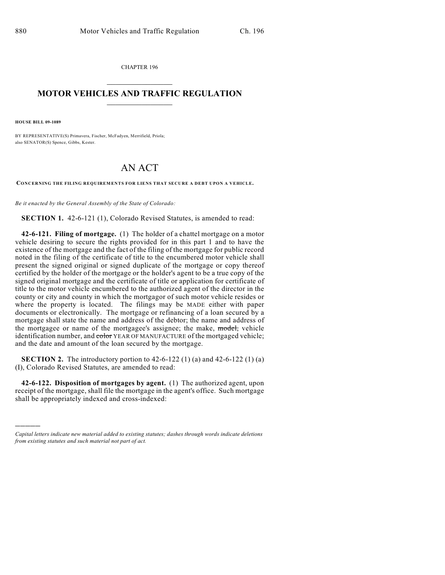CHAPTER 196  $\mathcal{L}_\text{max}$  . The set of the set of the set of the set of the set of the set of the set of the set of the set of the set of the set of the set of the set of the set of the set of the set of the set of the set of the set

## **MOTOR VEHICLES AND TRAFFIC REGULATION**  $\frac{1}{2}$  ,  $\frac{1}{2}$  ,  $\frac{1}{2}$  ,  $\frac{1}{2}$  ,  $\frac{1}{2}$  ,  $\frac{1}{2}$  ,  $\frac{1}{2}$  ,  $\frac{1}{2}$

**HOUSE BILL 09-1089**

)))))

BY REPRESENTATIVE(S) Primavera, Fischer, McFadyen, Merrifield, Priola; also SENATOR(S) Spence, Gibbs, Kester.

## AN ACT

**CONCERNING THE FILING REQUIREMENTS FOR LIENS THAT SECURE A DEBT UPON A VEHICLE.**

*Be it enacted by the General Assembly of the State of Colorado:*

**SECTION 1.** 42-6-121 (1), Colorado Revised Statutes, is amended to read:

**42-6-121. Filing of mortgage.** (1) The holder of a chattel mortgage on a motor vehicle desiring to secure the rights provided for in this part 1 and to have the existence of the mortgage and the fact of the filing of the mortgage for public record noted in the filing of the certificate of title to the encumbered motor vehicle shall present the signed original or signed duplicate of the mortgage or copy thereof certified by the holder of the mortgage or the holder's agent to be a true copy of the signed original mortgage and the certificate of title or application for certificate of title to the motor vehicle encumbered to the authorized agent of the director in the county or city and county in which the mortgagor of such motor vehicle resides or where the property is located. The filings may be MADE either with paper documents or electronically. The mortgage or refinancing of a loan secured by a mortgage shall state the name and address of the debtor; the name and address of the mortgagee or name of the mortgagee's assignee; the make, model, vehicle identification number, and color YEAR OF MANUFACTURE of the mortgaged vehicle; and the date and amount of the loan secured by the mortgage.

**SECTION 2.** The introductory portion to 42-6-122 (1) (a) and 42-6-122 (1) (a) (I), Colorado Revised Statutes, are amended to read:

**42-6-122. Disposition of mortgages by agent.** (1) The authorized agent, upon receipt of the mortgage, shall file the mortgage in the agent's office. Such mortgage shall be appropriately indexed and cross-indexed:

*Capital letters indicate new material added to existing statutes; dashes through words indicate deletions from existing statutes and such material not part of act.*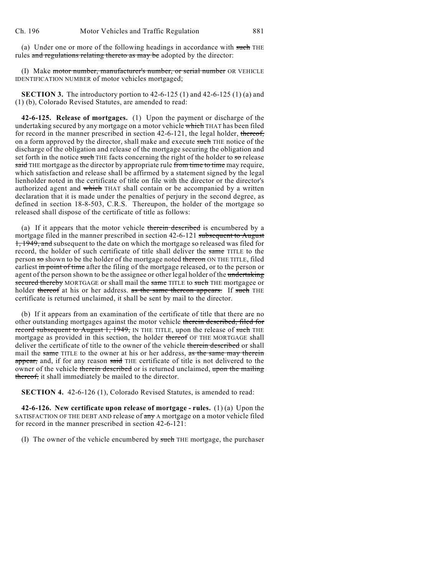(a) Under one or more of the following headings in accordance with such THE rules and regulations relating thereto as may be adopted by the director:

(I) Make motor number, manufacturer's number, or serial number OR VEHICLE IDENTIFICATION NUMBER of motor vehicles mortgaged;

**SECTION 3.** The introductory portion to 42-6-125 (1) and 42-6-125 (1) (a) and (1) (b), Colorado Revised Statutes, are amended to read:

**42-6-125. Release of mortgages.** (1) Upon the payment or discharge of the undertaking secured by any mortgage on a motor vehicle which THAT has been filed for record in the manner prescribed in section 42-6-121, the legal holder, thereof, on a form approved by the director, shall make and execute such THE notice of the discharge of the obligation and release of the mortgage securing the obligation and set forth in the notice such THE facts concerning the right of the holder to so release said THE mortgage as the director by appropriate rule from time to time may require, which satisfaction and release shall be affirmed by a statement signed by the legal lienholder noted in the certificate of title on file with the director or the director's authorized agent and which THAT shall contain or be accompanied by a written declaration that it is made under the penalties of perjury in the second degree, as defined in section 18-8-503, C.R.S. Thereupon, the holder of the mortgage so released shall dispose of the certificate of title as follows:

(a) If it appears that the motor vehicle therein described is encumbered by a mortgage filed in the manner prescribed in section 42-6-121 subsequent to August 1, 1949, and subsequent to the date on which the mortgage so released was filed for record, the holder of such certificate of title shall deliver the same TITLE to the person so shown to be the holder of the mortgage noted thereon ON THE TITLE, filed earliest in point of time after the filing of the mortgage released, or to the person or agent of the person shown to be the assignee or other legal holder of the undertaking secured thereby MORTGAGE or shall mail the same TITLE to such THE mortgagee or holder thereof at his or her address. as the same thereon appears. If such THE certificate is returned unclaimed, it shall be sent by mail to the director.

(b) If it appears from an examination of the certificate of title that there are no other outstanding mortgages against the motor vehicle therein described, filed for record subsequent to August 1, 1949, IN THE TITLE, upon the release of such THE mortgage as provided in this section, the holder thereof OF THE MORTGAGE shall deliver the certificate of title to the owner of the vehicle therein described or shall mail the same TITLE to the owner at his or her address, as the same may therein appear, and, if for any reason said THE certificate of title is not delivered to the owner of the vehicle therein described or is returned unclaimed, upon the mailing thereof, it shall immediately be mailed to the director.

**SECTION 4.** 42-6-126 (1), Colorado Revised Statutes, is amended to read:

**42-6-126. New certificate upon release of mortgage - rules.** (1) (a) Upon the SATISFACTION OF THE DEBT AND release of any A mortgage on a motor vehicle filed for record in the manner prescribed in section 42-6-121:

(I) The owner of the vehicle encumbered by such THE mortgage, the purchaser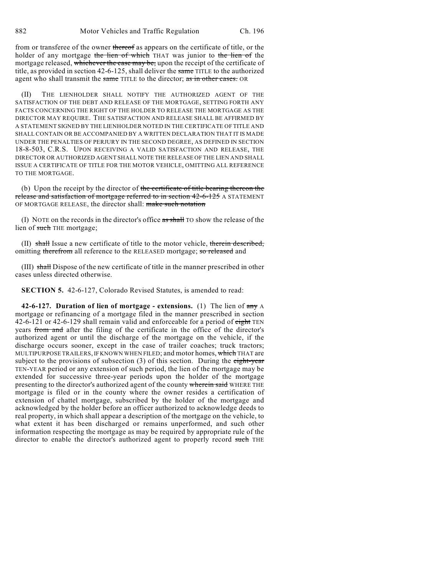from or transferee of the owner thereof as appears on the certificate of title, or the holder of any mortgage the lien of which THAT was junior to the lien of the mortgage released, whichever the case may be, upon the receipt of the certificate of title, as provided in section 42-6-125, shall deliver the same TITLE to the authorized agent who shall transmit the same TITLE to the director; as in other cases. OR

(II) THE LIENHOLDER SHALL NOTIFY THE AUTHORIZED AGENT OF THE SATISFACTION OF THE DEBT AND RELEASE OF THE MORTGAGE, SETTING FORTH ANY FACTS CONCERNING THE RIGHT OF THE HOLDER TO RELEASE THE MORTGAGE AS THE DIRECTOR MAY REQUIRE. THE SATISFACTION AND RELEASE SHALL BE AFFIRMED BY A STATEMENT SIGNED BY THE LIENHOLDER NOTED IN THE CERTIFICATE OF TITLE AND SHALL CONTAIN OR BE ACCOMPANIED BY A WRITTEN DECLARATION THAT IT IS MADE UNDER THE PENALTIES OF PERJURY IN THE SECOND DEGREE, AS DEFINED IN SECTION 18-8-503, C.R.S. UPON RECEIVING A VALID SATISFACTION AND RELEASE, THE DIRECTOR OR AUTHORIZED AGENT SHALL NOTE THE RELEASE OF THE LIEN AND SHALL ISSUE A CERTIFICATE OF TITLE FOR THE MOTOR VEHICLE, OMITTING ALL REFERENCE TO THE MORTGAGE.

(b) Upon the receipt by the director of the certificate of title bearing thereon the release and satisfaction of mortgage referred to in section 42-6-125 A STATEMENT OF MORTGAGE RELEASE, the director shall: make such notation

(I) NOTE on the records in the director's office as shall TO show the release of the lien of such THE mortgage;

(II) shall Issue a new certificate of title to the motor vehicle, therein described, omitting therefrom all reference to the RELEASED mortgage; so released and

(III) shall Dispose of the new certificate of title in the manner prescribed in other cases unless directed otherwise.

**SECTION 5.** 42-6-127, Colorado Revised Statutes, is amended to read:

**42-6-127. Duration of lien of mortgage - extensions.** (1) The lien of any A mortgage or refinancing of a mortgage filed in the manner prescribed in section 42-6-121 or 42-6-129 shall remain valid and enforceable for a period of  $\epsilon$ ight TEN years from and after the filing of the certificate in the office of the director's authorized agent or until the discharge of the mortgage on the vehicle, if the discharge occurs sooner, except in the case of trailer coaches; truck tractors; MULTIPURPOSE TRAILERS, IF KNOWN WHEN FILED; and motor homes, which THAT are subject to the provisions of subsection  $(3)$  of this section. During the eight-year TEN-YEAR period or any extension of such period, the lien of the mortgage may be extended for successive three-year periods upon the holder of the mortgage presenting to the director's authorized agent of the county wherein said WHERE THE mortgage is filed or in the county where the owner resides a certification of extension of chattel mortgage, subscribed by the holder of the mortgage and acknowledged by the holder before an officer authorized to acknowledge deeds to real property, in which shall appear a description of the mortgage on the vehicle, to what extent it has been discharged or remains unperformed, and such other information respecting the mortgage as may be required by appropriate rule of the director to enable the director's authorized agent to properly record such THE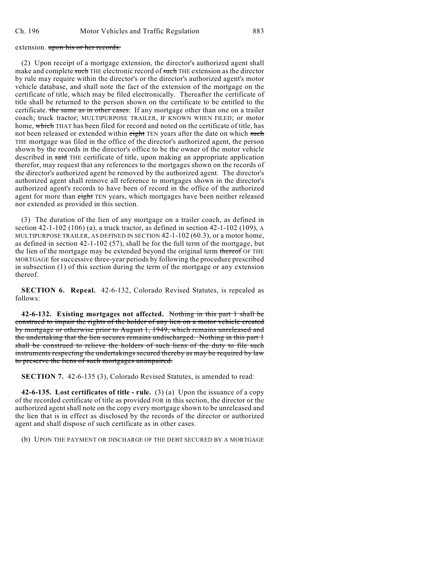## extension. upon his or her records.

(2) Upon receipt of a mortgage extension, the director's authorized agent shall make and complete such THE electronic record of such THE extension as the director by rule may require within the director's or the director's authorized agent's motor vehicle database, and shall note the fact of the extension of the mortgage on the certificate of title, which may be filed electronically. Thereafter the certificate of title shall be returned to the person shown on the certificate to be entitled to the certificate. the same as in other cases. If any mortgage other than one on a trailer coach; truck tractor; MULTIPURPOSE TRAILER, IF KNOWN WHEN FILED; or motor home, which THAT has been filed for record and noted on the certificate of title, has not been released or extended within eight TEN years after the date on which such THE mortgage was filed in the office of the director's authorized agent, the person shown by the records in the director's office to be the owner of the motor vehicle described in said THE certificate of title, upon making an appropriate application therefor, may request that any references to the mortgages shown on the records of the director's authorized agent be removed by the authorized agent. The director's authorized agent shall remove all reference to mortgages shown in the director's authorized agent's records to have been of record in the office of the authorized agent for more than eight TEN years, which mortgages have been neither released nor extended as provided in this section.

(3) The duration of the lien of any mortgage on a trailer coach, as defined in section 42-1-102 (106) (a), a truck tractor, as defined in section 42-1-102 (109), A MULTIPURPOSE TRAILER, AS DEFINED IN SECTION 42-1-102 (60.3), or a motor home, as defined in section 42-1-102 (57), shall be for the full term of the mortgage, but the lien of the mortgage may be extended beyond the original term thereof OF THE MORTGAGE for successive three-year periods by following the procedure prescribed in subsection (1) of this section during the term of the mortgage or any extension thereof.

**SECTION 6. Repeal.** 42-6-132, Colorado Revised Statutes, is repealed as follows:

**42-6-132. Existing mortgages not affected.** Nothing in this part 1 shall be construed to impair the rights of the holder of any lien on a motor vehicle created by mortgage or otherwise prior to August 1, 1949, which remains unreleased and the undertaking that the lien secures remains undischarged. Nothing in this part 1 shall be construed to relieve the holders of such liens of the duty to file such instruments respecting the undertakings secured thereby as may be required by law to preserve the liens of such mortgages unimpaired.

**SECTION 7.** 42-6-135 (3), Colorado Revised Statutes, is amended to read:

**42-6-135. Lost certificates of title - rule.** (3) (a) Upon the issuance of a copy of the recorded certificate of title as provided FOR in this section, the director or the authorized agent shall note on the copy every mortgage shown to be unreleased and the lien that is in effect as disclosed by the records of the director or authorized agent and shall dispose of such certificate as in other cases.

(b) UPON THE PAYMENT OR DISCHARGE OF THE DEBT SECURED BY A MORTGAGE